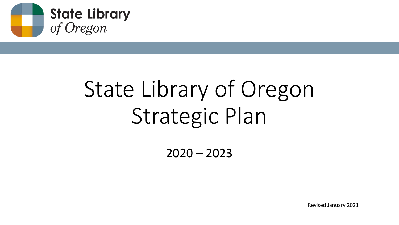

# State Library of Oregon Strategic Plan

 $2020 - 2023$ 

Revised January 2021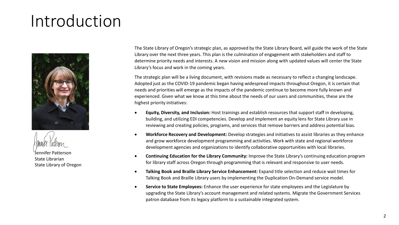## Introduction





Jennifer Patterson State Librarian State Library of Oregon

The State Library of Oregon's strategic plan, as approved by the State Library Board, will guide the work of the State Library over the next three years. This plan is the culmination of engagement with stakeholders and staff to determine priority needs and interests. A new vision and mission along with updated values will center the State Library's focus and work in the coming years.

The strategic plan will be a living document, with revisions made as necessary to reflect a changing landscape. Adopted just as the COVID-19 pandemic began having widespread impacts throughout Oregon, it is certain that needs and priorities will emerge as the impacts of the pandemic continue to become more fully known and experienced. Given what we know at this time about the needs of our users and communities, these are the highest priority initiatives:

- **Equity, Diversity, and Inclusion:** Host trainings and establish resources that support staff in developing, building, and utilizing EDI competencies. Develop and implement an equity lens for State Library use in reviewing and creating policies, programs, and services that remove barriers and address potential bias.
- **Workforce Recovery and Development:** Develop strategies and initiatives to assist libraries as they enhance and grow workforce development programming and activities. Work with state and regional workforce development agencies and organizations to identify collaborative opportunities with local libraries.
- **Continuing Education for the Library Community:** Improve the State Library's continuing education program for library staff across Oregon through programming that is relevant and responsive to user needs.
- **Talking Book and Braille Library Service Enhancement:** Expand title selection and reduce wait times for Talking Book and Braille Library users by implementing the Duplication On-Demand service model.
- **Service to State Employees:** Enhance the user experience for state employees and the Legislature by upgrading the State Library's account management and related systems. Migrate the Government Services patron database from its legacy platform to a sustainable integrated system.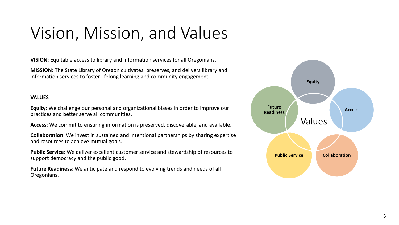## Vision, Mission, and Values

**VISION**: Equitable access to library and information services for all Oregonians.

**MISSION**: The State Library of Oregon cultivates, preserves, and delivers library and information services to foster lifelong learning and community engagement.

### **VALUES**

**Equity**: We challenge our personal and organizational biases in order to improve our practices and better serve all communities.

**Access**: We commit to ensuring information is preserved, discoverable, and available.

**Collaboration**: We invest in sustained and intentional partnerships by sharing expertise and resources to achieve mutual goals.

**Public Service**: We deliver excellent customer service and stewardship of resources to support democracy and the public good.

**Future Readiness**: We anticipate and respond to evolving trends and needs of all Oregonians.

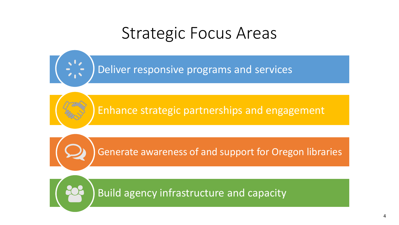## Strategic Focus Areas

Deliver responsive programs and services

Enhance strategic partnerships and engagement

Generate awareness of and support for Oregon libraries

Build agency infrastructure and capacity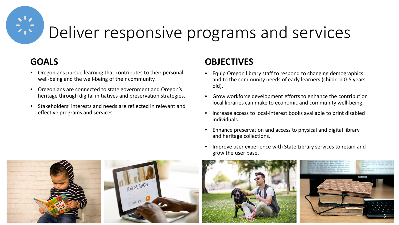# Deliver responsive programs and services

### **GOALS**

- Oregonians pursue learning that contributes to their personal well-being and the well-being of their community.
- Oregonians are connected to state government and Oregon's heritage through digital initiatives and preservation strategies.
- Stakeholders' interests and needs are reflected in relevant and effective programs and services.

- Equip Oregon library staff to respond to changing demographics and to the community needs of early learners (children 0-5 years old).
- Grow workforce development efforts to enhance the contribution local libraries can make to economic and community well-being.
- Increase access to local-interest books available to print disabled individuals.
- Enhance preservation and access to physical and digital library and heritage collections.
- Improve user experience with State Library services to retain and grow the user base.



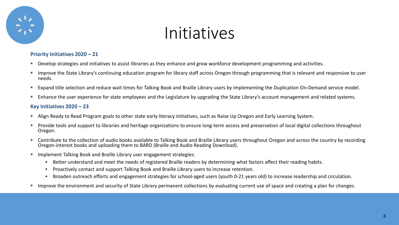

#### **Priority Initiatives 2020 – 21**

- **Develop strategies and initiatives to assist libraries as they enhance and grow workforce development programming and activities.**
- **IMPLE 15 Improve the State Library's continuing education program for library staff across Oregon through programming that is relevant and responsive to user in the Unity of the Unity Contains for the Unity Contains for t** needs.
- **Expand title selection and reduce wait times for Talking Book and Braille Library users by implementing the Duplication On-Demand service model.**
- **E** Enhance the user experience for state employees and the Legislature by upgrading the State Library's account management and related systems.

- Align Ready to Read Program goals to other state early literacy initiatives, such as Raise Up Oregon and Early Learning System.
- **Provide tools and support to libraries and heritage organizations to ensure long-term access and preservation of local digital collections throughout** Oregon.
- **•** Contribute to the collection of audio books available to Talking Book and Braille Library users throughout Oregon and across the country by recording Oregon-interest books and uploading them to BARD (Braille and Audio Reading Download).
- **IMPLEMENT ARKING BOOK AND BRAILLY ASSESS** 15 IMPLEMENT IMPLEMENT IMPLEMENT IMPLEMENT IMPLEMENT IMPLEMENT IMPLEMENT IMPLEMENT IMPLEMENT IMPLEMENT IMPLEMENT IMPLEMENT IMPLEMENT IMPLEMENT IMPLEMENT IMPLEMENT IMPLEMENT IMPLEM
	- Better understand and meet the needs of registered Braille readers by determining what factors affect their reading habits.
	- Proactively contact and support Talking Book and Braille Library users to increase retention.
	- Broaden outreach efforts and engagement strategies for school-aged users (youth 0-21 years old) to increase readership and circulation.
- **IMPROVE THE ENVIRTIME:** Improve the environment and security of State Library permanent collections by evaluating current use of space and creating a plan for changes.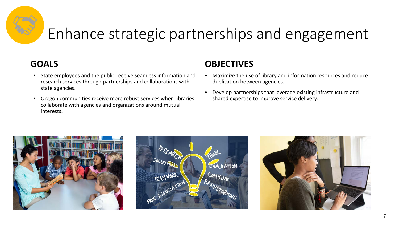## Enhance strategic partnerships and engagement

### **GOALS**

- State employees and the public receive seamless information and research services through partnerships and collaborations with state agencies.
- Oregon communities receive more robust services when libraries collaborate with agencies and organizations around mutual interests.

- Maximize the use of library and information resources and reduce duplication between agencies.
- Develop partnerships that leverage existing infrastructure and shared expertise to improve service delivery.





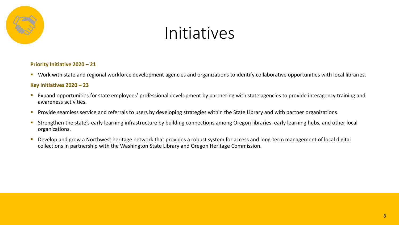

#### **Priority Initiative 2020 – 21**

**Work with state and regional workforce development agencies and organizations to identify collaborative opportunities with local libraries.** 

- Expand opportunities for state employees' professional development by partnering with state agencies to provide interagency training and awareness activities.
- **Provide seamless service and referrals to users by developing strategies within the State Library and with partner organizations.**
- **Strengthen the state's early learning infrastructure by building connections among Oregon libraries, early learning hubs, and other local in Strengthen to the local** organizations.
- Develop and grow a Northwest heritage network that provides a robust system for access and long-term management of local digital collections in partnership with the Washington State Library and Oregon Heritage Commission.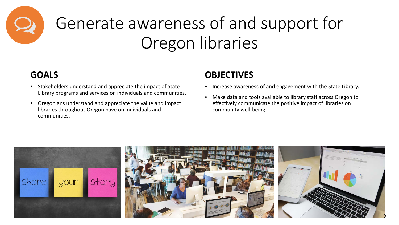

# Generate awareness of and support for Oregon libraries

### **GOALS**

- Stakeholders understand and appreciate the impact of State Library programs and services on individuals and communities.
- Oregonians understand and appreciate the value and impact libraries throughout Oregon have on individuals and communities.

- Increase awareness of and engagement with the State Library.
- Make data and tools available to library staff across Oregon to effectively communicate the positive impact of libraries on community well-being.

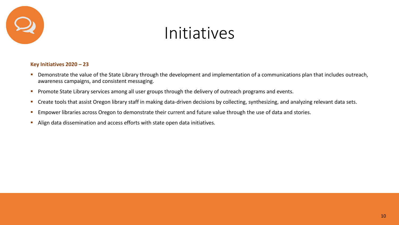

- **Demonstrate the value of the State Library through the development and implementation of a communications plan that includes outreach,** awareness campaigns, and consistent messaging.
- **Promote State Library services among all user groups through the delivery of outreach programs and events.**
- **Create tools that assist Oregon library staff in making data-driven decisions by collecting, synthesizing, and analyzing relevant data sets.**
- **Empower libraries across Oregon to demonstrate their current and future value through the use of data and stories.**
- Align data dissemination and access efforts with state open data initiatives.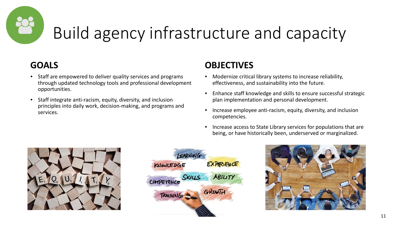# Build agency infrastructure and capacity

### **GOALS**

- Staff are empowered to deliver quality services and programs through updated technology tools and professional development opportunities.
- Staff integrate anti-racism, equity, diversity, and inclusion principles into daily work, decision-making, and programs and services.

- Modernize critical library systems to increase reliability, effectiveness, and sustainability into the future.
- Enhance staff knowledge and skills to ensure successful strategic plan implementation and personal development.
- Increase employee anti-racism, equity, diversity, and inclusion competencies.
- Increase access to State Library services for populations that are being, or have historically been, underserved or marginalized.



| LEARNING          |            |
|-------------------|------------|
| KNOWLEDGE         | EXPERIENCE |
| COMPETENCE SKILLS | ABILITY    |
| <b>TRAINING</b>   | GROWTH     |
|                   |            |